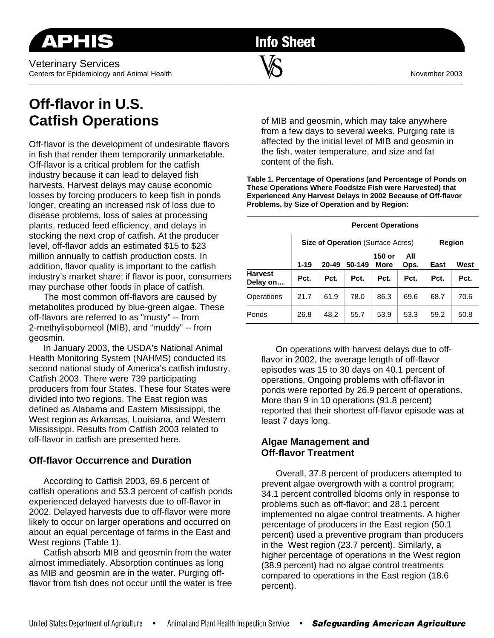Veterinary Services Centers for Epidemiology and Animal Health November 2003 \_\_\_\_\_\_\_\_\_\_\_\_\_\_\_\_\_\_\_\_\_\_\_\_\_\_\_\_\_\_\_\_\_\_\_\_\_\_\_\_\_\_\_\_\_\_\_\_\_\_\_\_\_\_\_\_\_\_\_\_\_\_\_\_\_\_\_\_\_\_\_\_\_\_\_\_\_\_\_\_\_\_\_\_\_\_\_\_\_\_\_\_\_\_\_\_\_\_\_\_\_\_\_\_\_\_\_\_\_\_\_\_\_\_\_\_\_\_\_\_\_

**Info Sheet** 

# **Off-flavor in U.S. Catfish Operations**

Off-flavor is the development of undesirable flavors in fish that render them temporarily unmarketable. Off-flavor is a critical problem for the catfish industry because it can lead to delayed fish harvests. Harvest delays may cause economic losses by forcing producers to keep fish in ponds longer, creating an increased risk of loss due to disease problems, loss of sales at processing plants, reduced feed efficiency, and delays in stocking the next crop of catfish. At the producer level, off-flavor adds an estimated \$15 to \$23 million annually to catfish production costs. In addition, flavor quality is important to the catfish industry's market share; if flavor is poor, consumers may purchase other foods in place of catfish.

 The most common off-flavors are caused by metabolites produced by blue-green algae. These off-flavors are referred to as "musty" -- from 2-methylisoborneol (MIB), and "muddy" -- from geosmin.

 In January 2003, the USDA's National Animal Health Monitoring System (NAHMS) conducted its second national study of America's catfish industry, Catfish 2003. There were 739 participating producers from four States. These four States were divided into two regions. The East region was defined as Alabama and Eastern Mississippi, the West region as Arkansas, Louisiana, and Western Mississippi. Results from Catfish 2003 related to off-flavor in catfish are presented here.

## **Off-flavor Occurrence and Duration**

 According to Catfish 2003, 69.6 percent of catfish operations and 53.3 percent of catfish ponds experienced delayed harvests due to off-flavor in 2002. Delayed harvests due to off-flavor were more likely to occur on larger operations and occurred on about an equal percentage of farms in the East and West regions (Table 1).

 Catfish absorb MIB and geosmin from the water almost immediately. Absorption continues as long as MIB and geosmin are in the water. Purging offflavor from fish does not occur until the water is free

of MIB and geosmin, which may take anywhere from a few days to several weeks. Purging rate is affected by the initial level of MIB and geosmin in the fish, water temperature, and size and fat content of the fish.

**Table 1. Percentage of Operations (and Percentage of Ponds on These Operations Where Foodsize Fish were Harvested) that Experienced Any Harvest Delays in 2002 Because of Off-flavor Problems, by Size of Operation and by Region:** 

|                            | <b>Percent Operations</b> |                                          |               |                       |             |      |      |  |
|----------------------------|---------------------------|------------------------------------------|---------------|-----------------------|-------------|------|------|--|
|                            |                           | <b>Size of Operation (Surface Acres)</b> | <b>Region</b> |                       |             |      |      |  |
|                            | $1 - 19$                  | 20-49                                    | 50-149        | 150 or<br><b>More</b> | All<br>Ops. | East | West |  |
| <b>Harvest</b><br>Delay on | Pct.                      | Pct.                                     | Pct.          | Pct.                  | Pct.        | Pct. | Pct. |  |
| Operations                 | 21.7                      | 61.9                                     | 78.0          | 86.3                  | 69.6        | 68.7 | 70.6 |  |
| Ponds                      | 26.8                      | 48.2                                     | 55.7          | 53.9                  | 53.3        | 59.2 | 50.8 |  |

 On operations with harvest delays due to offflavor in 2002, the average length of off-flavor episodes was 15 to 30 days on 40.1 percent of operations. Ongoing problems with off-flavor in ponds were reported by 26.9 percent of operations. More than 9 in 10 operations (91.8 percent) reported that their shortest off-flavor episode was at least 7 days long.

## **Algae Management and Off-flavor Treatment**

 Overall, 37.8 percent of producers attempted to prevent algae overgrowth with a control program; 34.1 percent controlled blooms only in response to problems such as off-flavor; and 28.1 percent implemented no algae control treatments. A higher percentage of producers in the East region (50.1 percent) used a preventive program than producers in the West region (23.7 percent). Similarly, a higher percentage of operations in the West region (38.9 percent) had no algae control treatments compared to operations in the East region (18.6 percent).